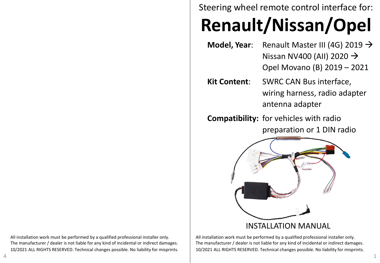Steering wheel remote control interface for:

# **Renault/Nissan/Opel**

- **Model, Year**: Renault Master III (4G) 2019 → Nissan NV400 (AII) 2020  $\rightarrow$ Opel Movano (B) 2019 – 2021
- **Kit Content**: SWRC CAN Bus interface, wiring harness, radio adapter antenna adapter
- **Compatibility:** for vehicles with radio preparation or 1 DIN radio



All installation work must be performed by a qualified professional installer only. The manufacturer / dealer is not liable for any kind of incidental or indirect damages. 10/2021 ALL RIGHTS RESERVED. Technical changes possible. No liability for misprints.

All installation work must be performed by a qualified professional installer only. The manufacturer / dealer is not liable for any kind of incidental or indirect damages. 10/2021 ALL RIGHTS RESERVED. Technical changes possible. No liability for misprints.